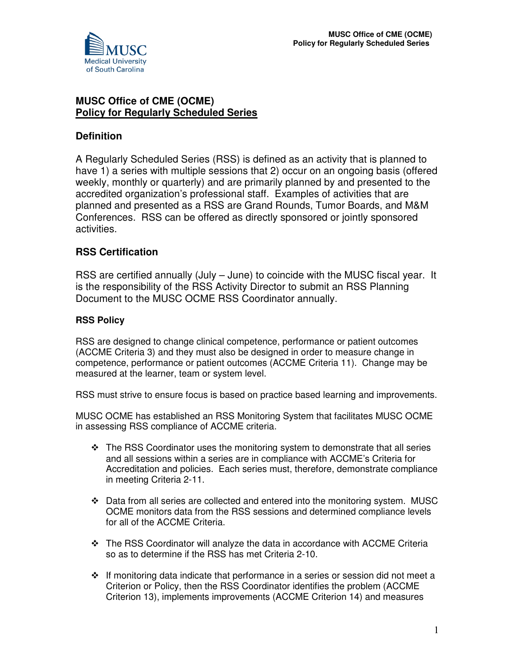

# **MUSC Office of CME (OCME) Policy for Regularly Scheduled Series**

# **Definition**

A Regularly Scheduled Series (RSS) is defined as an activity that is planned to have 1) a series with multiple sessions that 2) occur on an ongoing basis (offered weekly, monthly or quarterly) and are primarily planned by and presented to the accredited organization's professional staff. Examples of activities that are planned and presented as a RSS are Grand Rounds, Tumor Boards, and M&M Conferences. RSS can be offered as directly sponsored or jointly sponsored activities.

## **RSS Certification**

RSS are certified annually (July – June) to coincide with the MUSC fiscal year. It is the responsibility of the RSS Activity Director to submit an RSS Planning Document to the MUSC OCME RSS Coordinator annually.

### **RSS Policy**

RSS are designed to change clinical competence, performance or patient outcomes (ACCME Criteria 3) and they must also be designed in order to measure change in competence, performance or patient outcomes (ACCME Criteria 11). Change may be measured at the learner, team or system level.

RSS must strive to ensure focus is based on practice based learning and improvements.

MUSC OCME has established an RSS Monitoring System that facilitates MUSC OCME in assessing RSS compliance of ACCME criteria.

- $\div$  The RSS Coordinator uses the monitoring system to demonstrate that all series and all sessions within a series are in compliance with ACCME's Criteria for Accreditation and policies. Each series must, therefore, demonstrate compliance in meeting Criteria 2-11.
- Data from all series are collected and entered into the monitoring system. MUSC OCME monitors data from the RSS sessions and determined compliance levels for all of the ACCME Criteria.
- The RSS Coordinator will analyze the data in accordance with ACCME Criteria so as to determine if the RSS has met Criteria 2-10.
- $\cdot \cdot$  If monitoring data indicate that performance in a series or session did not meet a Criterion or Policy, then the RSS Coordinator identifies the problem (ACCME Criterion 13), implements improvements (ACCME Criterion 14) and measures